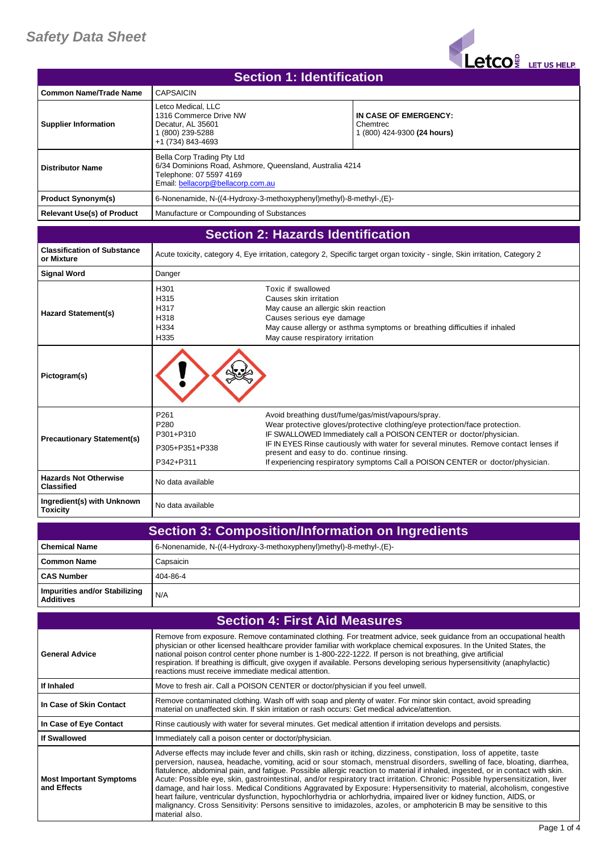## *Safety Data Sheet*



| Section 1: Identification         |                                                                                                                                                        |                                                                  |
|-----------------------------------|--------------------------------------------------------------------------------------------------------------------------------------------------------|------------------------------------------------------------------|
| <b>Common Name/Trade Name</b>     | <b>CAPSAICIN</b>                                                                                                                                       |                                                                  |
| <b>Supplier Information</b>       | Letco Medical, LLC<br>1316 Commerce Drive NW<br>Decatur. AL 35601<br>1 (800) 239-5288<br>+1 (734) 843-4693                                             | IN CASE OF EMERGENCY:<br>Chemtrec<br>1 (800) 424-9300 (24 hours) |
| <b>Distributor Name</b>           | Bella Corp Trading Pty Ltd<br>6/34 Dominions Road, Ashmore, Queensland, Australia 4214<br>Telephone: 07 5597 4169<br>Email: bellacorp@bellacorp.com.au |                                                                  |
| <b>Product Synonym(s)</b>         | 6-Nonenamide, N-((4-Hydroxy-3-methoxyphenyl)methyl)-8-methyl-,(E)-                                                                                     |                                                                  |
| <b>Relevant Use(s) of Product</b> | Manufacture or Compounding of Substances                                                                                                               |                                                                  |
|                                   |                                                                                                                                                        |                                                                  |

## **Section 2: Hazards Identification**

| <b>Classification of Substance</b><br>or Mixture  |                                                                      | Acute toxicity, category 4, Eye irritation, category 2, Specific target organ toxicity - single, Skin irritation, Category 2                                                                                                                                                                                                                                                                                                 |
|---------------------------------------------------|----------------------------------------------------------------------|------------------------------------------------------------------------------------------------------------------------------------------------------------------------------------------------------------------------------------------------------------------------------------------------------------------------------------------------------------------------------------------------------------------------------|
| <b>Signal Word</b>                                | Danger                                                               |                                                                                                                                                                                                                                                                                                                                                                                                                              |
| <b>Hazard Statement(s)</b>                        | H <sub>301</sub><br>H315<br>H317<br>H318<br>H334<br>H335             | Toxic if swallowed<br>Causes skin irritation<br>May cause an allergic skin reaction<br>Causes serious eye damage<br>May cause allergy or asthma symptoms or breathing difficulties if inhaled<br>May cause respiratory irritation                                                                                                                                                                                            |
| Pictogram(s)                                      |                                                                      |                                                                                                                                                                                                                                                                                                                                                                                                                              |
| <b>Precautionary Statement(s)</b>                 | P261<br>P <sub>280</sub><br>P301+P310<br>P305+P351+P338<br>P342+P311 | Avoid breathing dust/fume/gas/mist/vapours/spray.<br>Wear protective gloves/protective clothing/eye protection/face protection.<br>IF SWALLOWED Immediately call a POISON CENTER or doctor/physician.<br>IF IN EYES Rinse cautiously with water for several minutes. Remove contact lenses if<br>present and easy to do. continue rinsing.<br>If experiencing respiratory symptoms Call a POISON CENTER or doctor/physician. |
| <b>Hazards Not Otherwise</b><br><b>Classified</b> | No data available                                                    |                                                                                                                                                                                                                                                                                                                                                                                                                              |
| Ingredient(s) with Unknown<br><b>Toxicity</b>     | No data available                                                    |                                                                                                                                                                                                                                                                                                                                                                                                                              |

| <b>Section 3: Composition/Information on Ingredients</b> |                                                                    |
|----------------------------------------------------------|--------------------------------------------------------------------|
| l Chemical Name                                          | 6-Nonenamide, N-((4-Hydroxy-3-methoxyphenyl)methyl)-8-methyl-,(E)- |
| Common Name                                              | Capsaicin                                                          |
| <b>CAS Number</b>                                        | 404-86-4                                                           |
| Impurities and/or Stabilizing<br><b>Additives</b>        | N/A                                                                |

| <b>Section 4: First Aid Measures</b>          |                                                                                                                                                                                                                                                                                                                                                                                                                                                                                                                                                                                                                                                                                                                                                                                                                                                                                                               |  |
|-----------------------------------------------|---------------------------------------------------------------------------------------------------------------------------------------------------------------------------------------------------------------------------------------------------------------------------------------------------------------------------------------------------------------------------------------------------------------------------------------------------------------------------------------------------------------------------------------------------------------------------------------------------------------------------------------------------------------------------------------------------------------------------------------------------------------------------------------------------------------------------------------------------------------------------------------------------------------|--|
| <b>General Advice</b>                         | Remove from exposure. Remove contaminated clothing. For treatment advice, seek guidance from an occupational health<br>physician or other licensed healthcare provider familiar with workplace chemical exposures. In the United States, the<br>national poison control center phone number is 1-800-222-1222. If person is not breathing, give artificial<br>respiration. If breathing is difficult, give oxygen if available. Persons developing serious hypersensitivity (anaphylactic)<br>reactions must receive immediate medical attention.                                                                                                                                                                                                                                                                                                                                                             |  |
| If Inhaled                                    | Move to fresh air. Call a POISON CENTER or doctor/physician if you feel unwell.                                                                                                                                                                                                                                                                                                                                                                                                                                                                                                                                                                                                                                                                                                                                                                                                                               |  |
| In Case of Skin Contact                       | Remove contaminated clothing. Wash off with soap and plenty of water. For minor skin contact, avoid spreading<br>material on unaffected skin. If skin irritation or rash occurs: Get medical advice/attention.                                                                                                                                                                                                                                                                                                                                                                                                                                                                                                                                                                                                                                                                                                |  |
| In Case of Eye Contact                        | Rinse cautiously with water for several minutes. Get medical attention if irritation develops and persists.                                                                                                                                                                                                                                                                                                                                                                                                                                                                                                                                                                                                                                                                                                                                                                                                   |  |
| <b>If Swallowed</b>                           | Immediately call a poison center or doctor/physician.                                                                                                                                                                                                                                                                                                                                                                                                                                                                                                                                                                                                                                                                                                                                                                                                                                                         |  |
| <b>Most Important Symptoms</b><br>and Effects | Adverse effects may include fever and chills, skin rash or itching, dizziness, constipation, loss of appetite, taste<br>perversion, nausea, headache, vomiting, acid or sour stomach, menstrual disorders, swelling of face, bloating, diarrhea,<br>flatulence, abdominal pain, and fatique. Possible allergic reaction to material if inhaled, ingested, or in contact with skin.<br>Acute: Possible eye, skin, gastrointestinal, and/or respiratory tract irritation. Chronic: Possible hypersensitization, liver<br>damage, and hair loss. Medical Conditions Aggravated by Exposure: Hypersensitivity to material, alcoholism, congestive<br>heart failure, ventricular dysfunction, hypochlorhydria or achlorhydria, impaired liver or kidney function, AIDS, or<br>malignancy. Cross Sensitivity: Persons sensitive to imidazoles, azoles, or amphotericin B may be sensitive to this<br>material also. |  |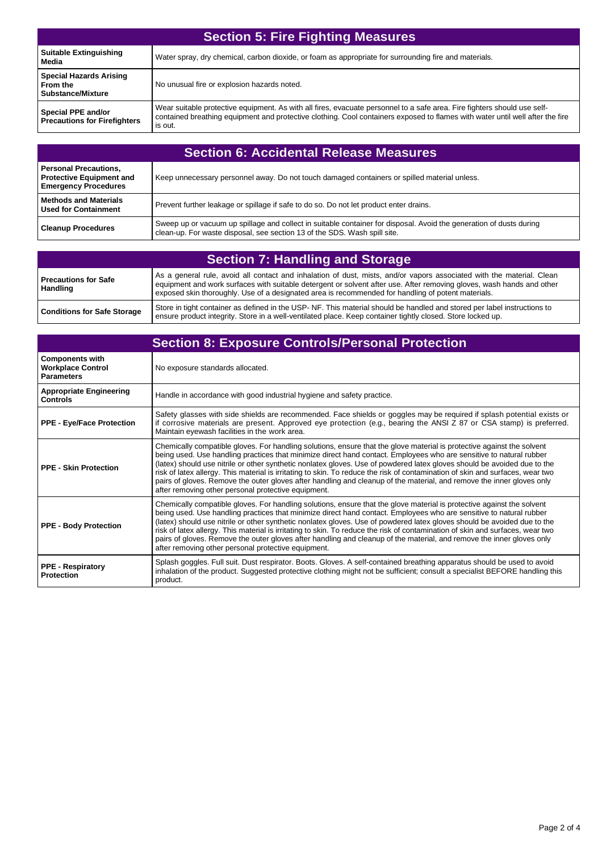| <b>Section 5: Fire Fighting Measures</b>                               |                                                                                                                                                                                                                                                                      |
|------------------------------------------------------------------------|----------------------------------------------------------------------------------------------------------------------------------------------------------------------------------------------------------------------------------------------------------------------|
| <b>Suitable Extinguishing</b><br>Media                                 | Water spray, dry chemical, carbon dioxide, or foam as appropriate for surrounding fire and materials.                                                                                                                                                                |
| <b>Special Hazards Arising</b><br>From the<br><b>Substance/Mixture</b> | No unusual fire or explosion hazards noted.                                                                                                                                                                                                                          |
| Special PPE and/or<br><b>Precautions for Firefighters</b>              | Wear suitable protective equipment. As with all fires, evacuate personnel to a safe area. Fire fighters should use self-<br>contained breathing equipment and protective clothing. Cool containers exposed to flames with water until well after the fire<br>is out. |

| <b>Section 6: Accidental Release Measures</b>                                                  |                                                                                                                                                                                                  |
|------------------------------------------------------------------------------------------------|--------------------------------------------------------------------------------------------------------------------------------------------------------------------------------------------------|
| <b>Personal Precautions,</b><br><b>Protective Equipment and</b><br><b>Emergency Procedures</b> | Keep unnecessary personnel away. Do not touch damaged containers or spilled material unless.                                                                                                     |
| <b>Methods and Materials</b><br><b>Used for Containment</b>                                    | Prevent further leakage or spillage if safe to do so. Do not let product enter drains.                                                                                                           |
| <b>Cleanup Procedures</b>                                                                      | Sweep up or vacuum up spillage and collect in suitable container for disposal. Avoid the generation of dusts during<br>clean-up. For waste disposal, see section 13 of the SDS. Wash spill site. |

| <b>Section 7: Handling and Storage</b>  |                                                                                                                                                                                                                                                                                                                                                      |
|-----------------------------------------|------------------------------------------------------------------------------------------------------------------------------------------------------------------------------------------------------------------------------------------------------------------------------------------------------------------------------------------------------|
| <b>Precautions for Safe</b><br>Handling | As a general rule, avoid all contact and inhalation of dust, mists, and/or vapors associated with the material. Clean<br>equipment and work surfaces with suitable detergent or solvent after use. After removing gloves, wash hands and other<br>exposed skin thoroughly. Use of a designated area is recommended for handling of potent materials. |
| <b>Conditions for Safe Storage</b>      | Store in tight container as defined in the USP-NF. This material should be handled and stored per label instructions to<br>ensure product integrity. Store in a well-ventilated place. Keep container tightly closed. Store locked up.                                                                                                               |

| <b>Section 8: Exposure Controls/Personal Protection</b>                 |                                                                                                                                                                                                                                                                                                                                                                                                                                                                                                                                                                                                                                                                                             |
|-------------------------------------------------------------------------|---------------------------------------------------------------------------------------------------------------------------------------------------------------------------------------------------------------------------------------------------------------------------------------------------------------------------------------------------------------------------------------------------------------------------------------------------------------------------------------------------------------------------------------------------------------------------------------------------------------------------------------------------------------------------------------------|
| <b>Components with</b><br><b>Workplace Control</b><br><b>Parameters</b> | No exposure standards allocated.                                                                                                                                                                                                                                                                                                                                                                                                                                                                                                                                                                                                                                                            |
| <b>Appropriate Engineering</b><br><b>Controls</b>                       | Handle in accordance with good industrial hygiene and safety practice.                                                                                                                                                                                                                                                                                                                                                                                                                                                                                                                                                                                                                      |
| <b>PPE - Eye/Face Protection</b>                                        | Safety glasses with side shields are recommended. Face shields or goggles may be required if splash potential exists or<br>if corrosive materials are present. Approved eye protection (e.g., bearing the ANSI Z 87 or CSA stamp) is preferred.<br>Maintain eyewash facilities in the work area.                                                                                                                                                                                                                                                                                                                                                                                            |
| <b>PPE - Skin Protection</b>                                            | Chemically compatible gloves. For handling solutions, ensure that the glove material is protective against the solvent<br>being used. Use handling practices that minimize direct hand contact. Employees who are sensitive to natural rubber<br>(latex) should use nitrile or other synthetic nonlatex gloves. Use of powdered latex gloves should be avoided due to the<br>risk of latex allergy. This material is irritating to skin. To reduce the risk of contamination of skin and surfaces, wear two<br>pairs of gloves. Remove the outer gloves after handling and cleanup of the material, and remove the inner gloves only<br>after removing other personal protective equipment. |
| <b>PPE - Body Protection</b>                                            | Chemically compatible gloves. For handling solutions, ensure that the glove material is protective against the solvent<br>being used. Use handling practices that minimize direct hand contact. Employees who are sensitive to natural rubber<br>(latex) should use nitrile or other synthetic nonlatex gloves. Use of powdered latex gloves should be avoided due to the<br>risk of latex allergy. This material is irritating to skin. To reduce the risk of contamination of skin and surfaces, wear two<br>pairs of gloves. Remove the outer gloves after handling and cleanup of the material, and remove the inner gloves only<br>after removing other personal protective equipment. |
| <b>PPE - Respiratory</b><br><b>Protection</b>                           | Splash goggles. Full suit. Dust respirator. Boots. Gloves. A self-contained breathing apparatus should be used to avoid<br>inhalation of the product. Suggested protective clothing might not be sufficient; consult a specialist BEFORE handling this<br>product.                                                                                                                                                                                                                                                                                                                                                                                                                          |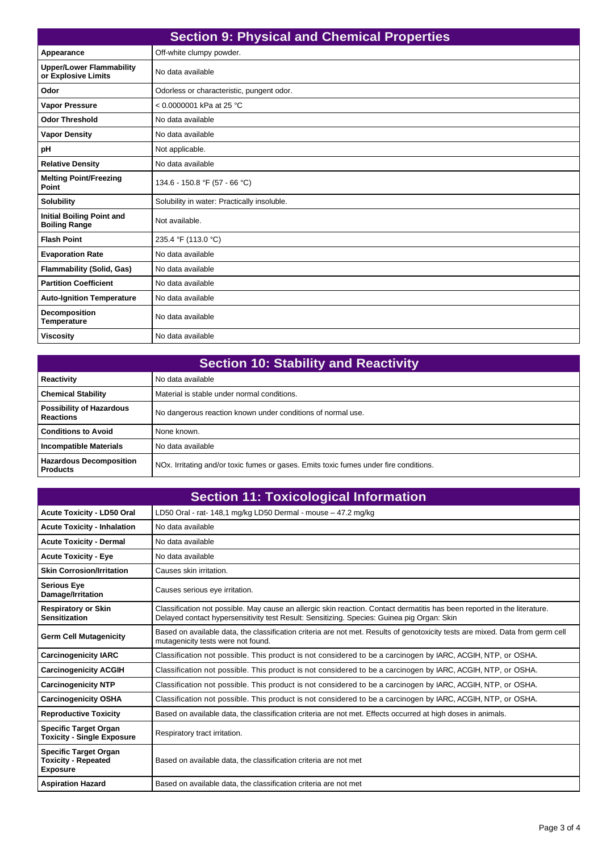| <b>Section 9: Physical and Chemical Properties</b>       |                                             |
|----------------------------------------------------------|---------------------------------------------|
| Appearance                                               | Off-white clumpy powder.                    |
| <b>Upper/Lower Flammability</b><br>or Explosive Limits   | No data available                           |
| Odor                                                     | Odorless or characteristic, pungent odor.   |
| <b>Vapor Pressure</b>                                    | < 0.0000001 kPa at 25 °C                    |
| <b>Odor Threshold</b>                                    | No data available                           |
| <b>Vapor Density</b>                                     | No data available                           |
| pH                                                       | Not applicable.                             |
| <b>Relative Density</b>                                  | No data available                           |
| <b>Melting Point/Freezing</b><br>Point                   | 134.6 - 150.8 °F (57 - 66 °C)               |
| <b>Solubility</b>                                        | Solubility in water: Practically insoluble. |
| <b>Initial Boiling Point and</b><br><b>Boiling Range</b> | Not available.                              |
| <b>Flash Point</b>                                       | 235.4 °F (113.0 °C)                         |
| <b>Evaporation Rate</b>                                  | No data available                           |
| <b>Flammability (Solid, Gas)</b>                         | No data available                           |
| <b>Partition Coefficient</b>                             | No data available                           |
| <b>Auto-Ignition Temperature</b>                         | No data available                           |
| <b>Decomposition</b><br><b>Temperature</b>               | No data available                           |
| <b>Viscosity</b>                                         | No data available                           |

| <b>Section 10: Stability and Reactivity</b>         |                                                                                                    |  |
|-----------------------------------------------------|----------------------------------------------------------------------------------------------------|--|
| Reactivity                                          | No data available                                                                                  |  |
| <b>Chemical Stability</b>                           | Material is stable under normal conditions.                                                        |  |
| <b>Possibility of Hazardous</b><br><b>Reactions</b> | No dangerous reaction known under conditions of normal use.                                        |  |
| <b>Conditions to Avoid</b>                          | None known.                                                                                        |  |
| <b>Incompatible Materials</b>                       | No data available                                                                                  |  |
| <b>Hazardous Decomposition</b><br><b>Products</b>   | NO <sub>x</sub> . Irritating and/or toxic fumes or gases. Emits toxic fumes under fire conditions. |  |

| <b>Section 11: Toxicological Information</b>                                  |                                                                                                                                                                                                                         |
|-------------------------------------------------------------------------------|-------------------------------------------------------------------------------------------------------------------------------------------------------------------------------------------------------------------------|
| <b>Acute Toxicity - LD50 Oral</b>                                             | LD50 Oral - rat- 148,1 mg/kg LD50 Dermal - mouse - 47.2 mg/kg                                                                                                                                                           |
| <b>Acute Toxicity - Inhalation</b>                                            | No data available                                                                                                                                                                                                       |
| <b>Acute Toxicity - Dermal</b>                                                | No data available                                                                                                                                                                                                       |
| <b>Acute Toxicity - Eye</b>                                                   | No data available                                                                                                                                                                                                       |
| <b>Skin Corrosion/Irritation</b>                                              | Causes skin irritation.                                                                                                                                                                                                 |
| <b>Serious Eye</b><br>Damage/Irritation                                       | Causes serious eye irritation.                                                                                                                                                                                          |
| <b>Respiratory or Skin</b><br><b>Sensitization</b>                            | Classification not possible. May cause an allergic skin reaction. Contact dermatitis has been reported in the literature.<br>Delayed contact hypersensitivity test Result: Sensitizing. Species: Guinea pig Organ: Skin |
| <b>Germ Cell Mutagenicity</b>                                                 | Based on available data, the classification criteria are not met. Results of genotoxicity tests are mixed. Data from germ cell<br>mutagenicity tests were not found.                                                    |
| <b>Carcinogenicity IARC</b>                                                   | Classification not possible. This product is not considered to be a carcinogen by IARC, ACGIH, NTP, or OSHA.                                                                                                            |
| <b>Carcinogenicity ACGIH</b>                                                  | Classification not possible. This product is not considered to be a carcinogen by IARC, ACGIH, NTP, or OSHA.                                                                                                            |
| <b>Carcinogenicity NTP</b>                                                    | Classification not possible. This product is not considered to be a carcinogen by IARC, ACGIH, NTP, or OSHA.                                                                                                            |
| <b>Carcinogenicity OSHA</b>                                                   | Classification not possible. This product is not considered to be a carcinogen by IARC, ACGIH, NTP, or OSHA.                                                                                                            |
| <b>Reproductive Toxicity</b>                                                  | Based on available data, the classification criteria are not met. Effects occurred at high doses in animals.                                                                                                            |
| <b>Specific Target Organ</b><br><b>Toxicity - Single Exposure</b>             | Respiratory tract irritation.                                                                                                                                                                                           |
| <b>Specific Target Organ</b><br><b>Toxicity - Repeated</b><br><b>Exposure</b> | Based on available data, the classification criteria are not met                                                                                                                                                        |
| <b>Aspiration Hazard</b>                                                      | Based on available data, the classification criteria are not met                                                                                                                                                        |